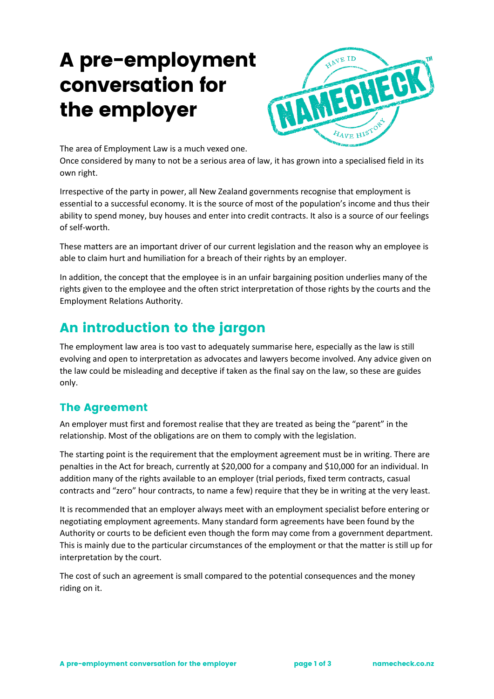# A pre-employment conversation for the employer



The area of Employment Law is a much vexed one.

Once considered by many to not be a serious area of law, it has grown into a specialised field in its own right.

Irrespective of the party in power, all New Zealand governments recognise that employment is essential to a successful economy. It is the source of most of the population's income and thus their ability to spend money, buy houses and enter into credit contracts. It also is a source of our feelings of self-worth.

These matters are an important driver of our current legislation and the reason why an employee is able to claim hurt and humiliation for a breach of their rights by an employer.

In addition, the concept that the employee is in an unfair bargaining position underlies many of the rights given to the employee and the often strict interpretation of those rights by the courts and the Employment Relations Authority.

# An introduction to the jargon

The employment law area is too vast to adequately summarise here, especially as the law is still evolving and open to interpretation as advocates and lawyers become involved. Any advice given on the law could be misleading and deceptive if taken as the final say on the law, so these are guides only.

# The Agreement

An employer must first and foremost realise that they are treated as being the "parent" in the relationship. Most of the obligations are on them to comply with the legislation.

The starting point is the requirement that the employment agreement must be in writing. There are penalties in the Act for breach, currently at \$20,000 for a company and \$10,000 for an individual. In addition many of the rights available to an employer (trial periods, fixed term contracts, casual contracts and "zero" hour contracts, to name a few) require that they be in writing at the very least.

It is recommended that an employer always meet with an employment specialist before entering or negotiating employment agreements. Many standard form agreements have been found by the Authority or courts to be deficient even though the form may come from a government department. This is mainly due to the particular circumstances of the employment or that the matter is still up for interpretation by the court.

The cost of such an agreement is small compared to the potential consequences and the money riding on it.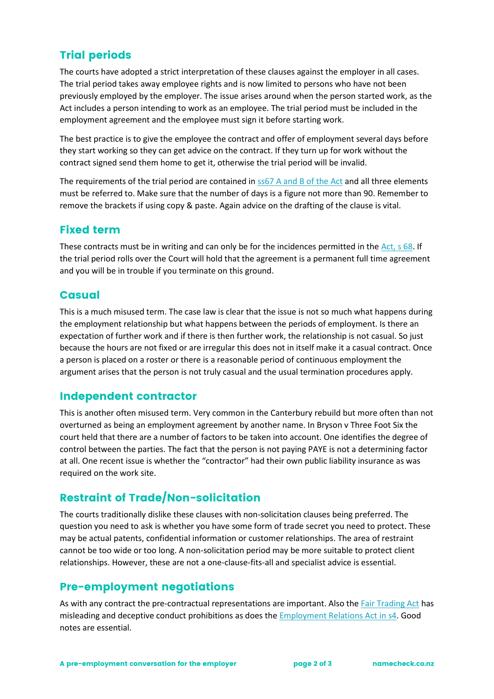# Trial periods

The courts have adopted a strict interpretation of these clauses against the employer in all cases. The trial period takes away employee rights and is now limited to persons who have not been previously employed by the employer. The issue arises around when the person started work, as the Act includes a person intending to work as an employee. The trial period must be included in the employment agreement and the employee must sign it before starting work.

The best practice is to give the employee the contract and offer of employment several days before they start working so they can get advice on the contract. If they turn up for work without the contract signed send them home to get it, otherwise the trial period will be invalid.

The requirements of the trial period are contained i[n ss67 A and B of the Act](http://legislation.co.nz/act/public/2000/0024/latest/DLM58317.html) and all three elements must be referred to. Make sure that the number of days is a figure not more than 90. Remember to remove the brackets if using copy & paste. Again advice on the drafting of the clause is vital.

#### Fixed term

These contracts must be in writing and can only be for the incidences permitted in the [Act, s 68.](http://legislation.co.nz/act/public/2000/0024/latest/DLM58317.html) If the trial period rolls over the Court will hold that the agreement is a permanent full time agreement and you will be in trouble if you terminate on this ground.

#### **Casual**

This is a much misused term. The case law is clear that the issue is not so much what happens during the employment relationship but what happens between the periods of employment. Is there an expectation of further work and if there is then further work, the relationship is not casual. So just because the hours are not fixed or are irregular this does not in itself make it a casual contract. Once a person is placed on a roster or there is a reasonable period of continuous employment the argument arises that the person is not truly casual and the usual termination procedures apply.

#### Independent contractor

This is another often misused term. Very common in the Canterbury rebuild but more often than not overturned as being an employment agreement by another name. In Bryson v Three Foot Six the court held that there are a number of factors to be taken into account. One identifies the degree of control between the parties. The fact that the person is not paying PAYE is not a determining factor at all. One recent issue is whether the "contractor" had their own public liability insurance as was required on the work site.

# Restraint of Trade/Non-solicitation

The courts traditionally dislike these clauses with non-solicitation clauses being preferred. The question you need to ask is whether you have some form of trade secret you need to protect. These may be actual patents, confidential information or customer relationships. The area of restraint cannot be too wide or too long. A non-solicitation period may be more suitable to protect client relationships. However, these are not a one-clause-fits-all and specialist advice is essential.

#### Pre-employment negotiations

As with any contract the pre-contractual representations are important. Also the [Fair Trading Act](http://legislation.co.nz/act/public/1986/0121/latest/DLM96439.html) has misleading and deceptive conduct prohibitions as does the [Employment Relations Act in s4.](http://legislation.co.nz/act/public/2000/0024/latest/DLM58317.html) Good notes are essential.